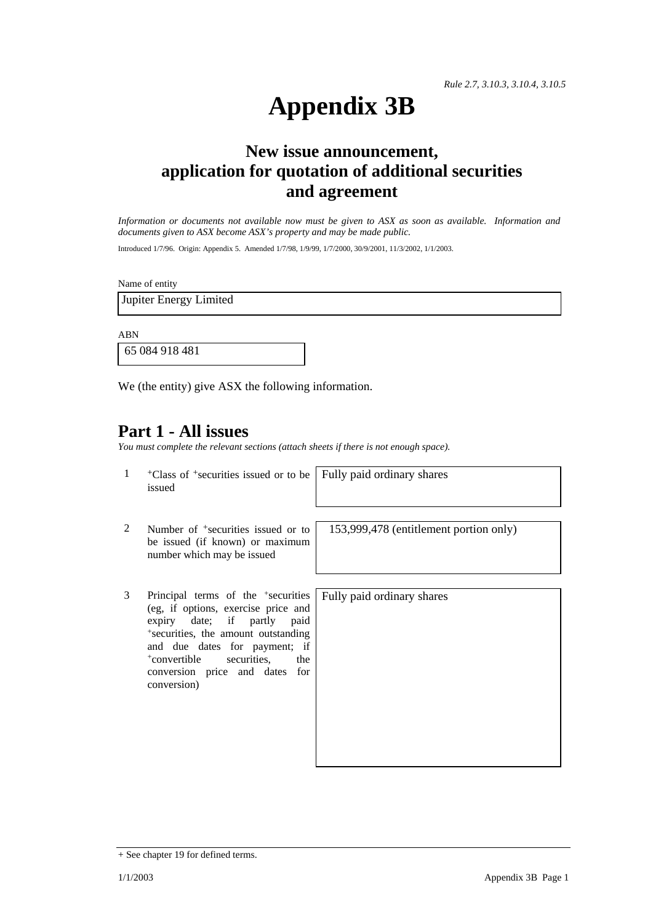# **Appendix 3B**

### **New issue announcement, application for quotation of additional securities and agreement**

*Information or documents not available now must be given to ASX as soon as available. Information and documents given to ASX become ASX's property and may be made public.* 

Introduced 1/7/96. Origin: Appendix 5. Amended 1/7/98, 1/9/99, 1/7/2000, 30/9/2001, 11/3/2002, 1/1/2003.

Name of entity

Jupiter Energy Limited

ABN

65 084 918 481

We (the entity) give ASX the following information.

### **Part 1 - All issues**

*You must complete the relevant sections (attach sheets if there is not enough space).*

1 +Class of +securities issued or to be issued

Fully paid ordinary shares

- 2 Number of <sup>+</sup>securities issued or to be issued (if known) or maximum number which may be issued
- 3 Principal terms of the +securities (eg, if options, exercise price and expiry date; if partly paid +securities, the amount outstanding and due dates for payment; if<br>
+convertible securities, the +convertible securities, the conversion price and dates for conversion)

153,999,478 (entitlement portion only)

Fully paid ordinary shares

<sup>+</sup> See chapter 19 for defined terms.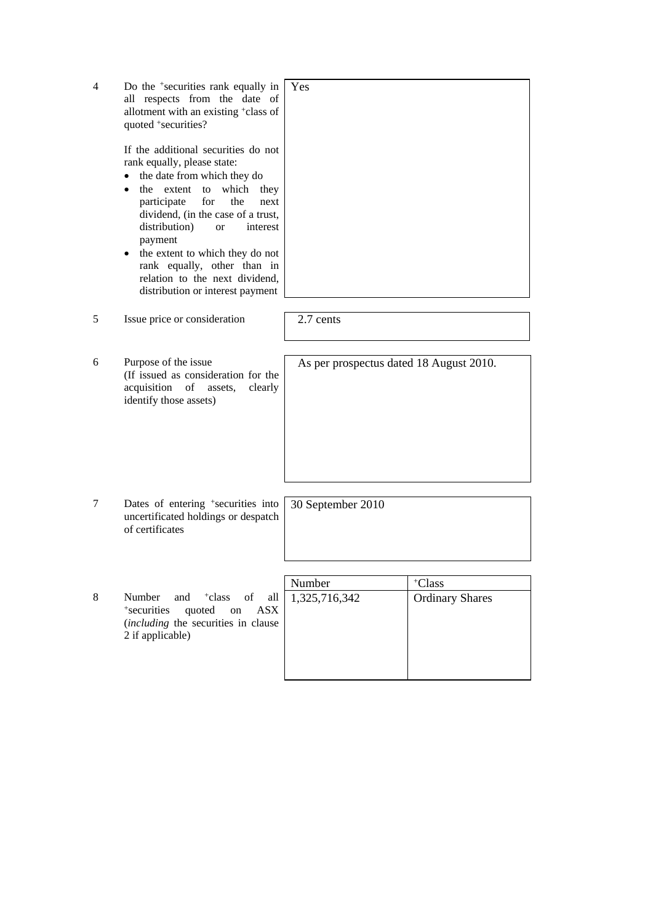| 4 | Do the <sup>+</sup> securities rank equally in<br>all respects from the date of<br>allotment with an existing +class of<br>quoted +securities?                                                                                                                                                                                                                                                       | Yes                                     |                                  |
|---|------------------------------------------------------------------------------------------------------------------------------------------------------------------------------------------------------------------------------------------------------------------------------------------------------------------------------------------------------------------------------------------------------|-----------------------------------------|----------------------------------|
|   | If the additional securities do not<br>rank equally, please state:<br>the date from which they do<br>which they<br>the extent<br>to<br>for<br>participate<br>the<br>next<br>dividend, (in the case of a trust,<br>distribution)<br>interest<br>or<br>payment<br>the extent to which they do not<br>rank equally, other than in<br>relation to the next dividend,<br>distribution or interest payment |                                         |                                  |
| 5 | Issue price or consideration                                                                                                                                                                                                                                                                                                                                                                         | 2.7 cents                               |                                  |
| 6 | Purpose of the issue<br>(If issued as consideration for the<br>acquisition of<br>clearly<br>assets,<br>identify those assets)                                                                                                                                                                                                                                                                        | As per prospectus dated 18 August 2010. |                                  |
| 7 | Dates of entering <sup>+</sup> securities into<br>uncertificated holdings or despatch<br>of certificates                                                                                                                                                                                                                                                                                             | 30 September 2010                       |                                  |
| 8 | Number<br>and<br><sup>+</sup> class<br>of<br>all<br>+securities<br>quoted on<br><b>ASX</b><br>(including the securities in clause<br>2 if applicable)                                                                                                                                                                                                                                                | Number<br>1,325,716,342                 | +Class<br><b>Ordinary Shares</b> |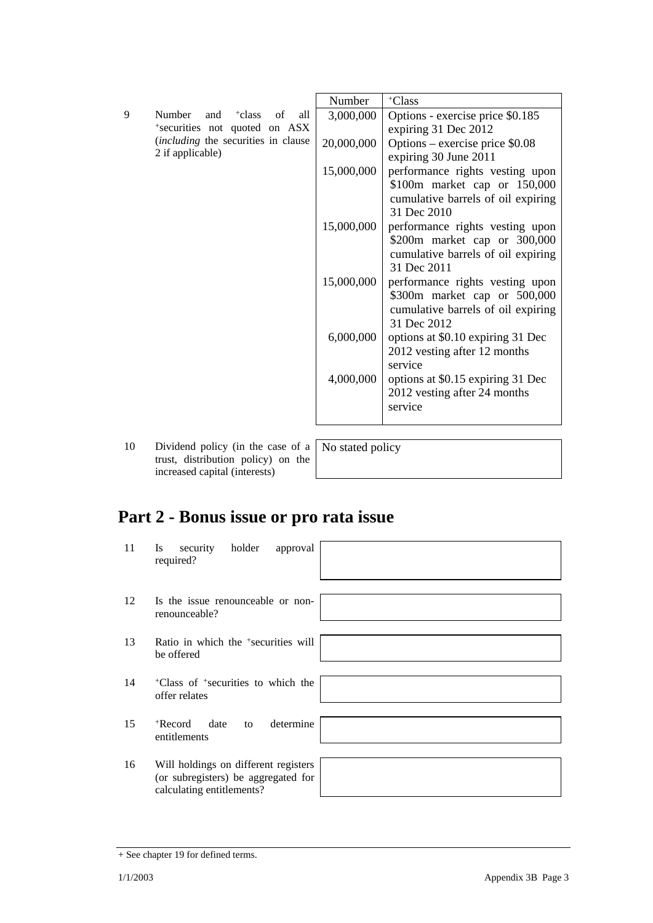|   |                                             | Number     | +Class                                                            |
|---|---------------------------------------------|------------|-------------------------------------------------------------------|
| 9 | Number<br>and $+class$<br>all<br>of         | 3,000,000  | Options - exercise price \$0.185                                  |
|   | *securities not quoted on ASX               |            | expiring 31 Dec 2012                                              |
|   | <i>(including the securities in clause)</i> | 20,000,000 | Options – exercise price \$0.08                                   |
|   | 2 if applicable)                            |            | expiring 30 June 2011                                             |
|   |                                             | 15,000,000 | performance rights vesting upon                                   |
|   |                                             |            | \$100m market cap or 150,000                                      |
|   |                                             |            | cumulative barrels of oil expiring                                |
|   |                                             |            | 31 Dec 2010                                                       |
|   |                                             | 15,000,000 | performance rights vesting upon                                   |
|   |                                             |            | \$200m market cap or 300,000                                      |
|   |                                             |            | cumulative barrels of oil expiring                                |
|   |                                             |            | 31 Dec 2011                                                       |
|   |                                             | 15,000,000 | performance rights vesting upon                                   |
|   |                                             |            | \$300m market cap or 500,000                                      |
|   |                                             |            | cumulative barrels of oil expiring                                |
|   |                                             |            | 31 Dec 2012                                                       |
|   |                                             | 6,000,000  | options at \$0.10 expiring 31 Dec                                 |
|   |                                             |            | 2012 vesting after 12 months<br>service                           |
|   |                                             |            |                                                                   |
|   |                                             | 4,000,000  | options at \$0.15 expiring 31 Dec<br>2012 vesting after 24 months |
|   |                                             |            | service                                                           |
|   |                                             |            |                                                                   |
|   |                                             |            |                                                                   |

10 Dividend policy (in the case of a trust, distribution policy) on the increased capital (interests)

No stated policy

## **Part 2 - Bonus issue or pro rata issue**

| 11 | security<br>holder<br>approval<br>Is.<br>required?                                                       |  |
|----|----------------------------------------------------------------------------------------------------------|--|
| 12 | Is the issue renounceable or non-<br>renounceable?                                                       |  |
| 13 | Ratio in which the <sup>+</sup> securities will<br>be offered                                            |  |
| 14 | <sup>+</sup> Class of <sup>+</sup> securities to which the<br>offer relates                              |  |
| 15 | determine<br>$+$ Record<br>date<br>to<br>entitlements                                                    |  |
| 16 | Will holdings on different registers<br>(or subregisters) be aggregated for<br>calculating entitlements? |  |

<sup>+</sup> See chapter 19 for defined terms.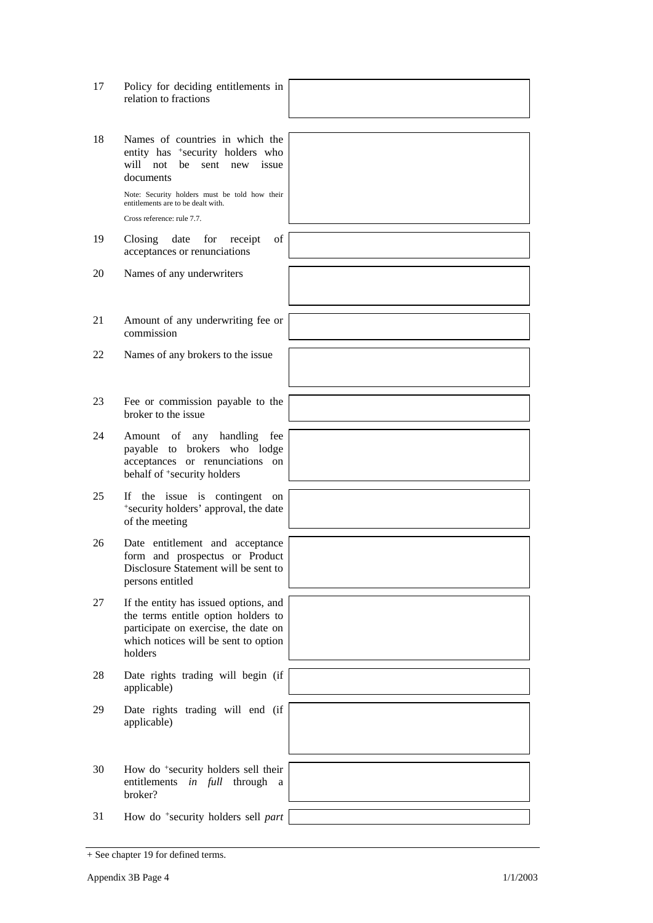| 17 | Policy for deciding entitlements in<br>relation to fractions                                                                                                            |  |
|----|-------------------------------------------------------------------------------------------------------------------------------------------------------------------------|--|
| 18 | Names of countries in which the<br>entity has <sup>+</sup> security holders who<br>will not<br>be<br>sent new issue<br>documents                                        |  |
|    | Note: Security holders must be told how their<br>entitlements are to be dealt with.<br>Cross reference: rule 7.7.                                                       |  |
| 19 | $\sigma f$<br>Closing<br>date<br>for<br>receipt<br>acceptances or renunciations                                                                                         |  |
| 20 | Names of any underwriters                                                                                                                                               |  |
| 21 | Amount of any underwriting fee or<br>commission                                                                                                                         |  |
| 22 | Names of any brokers to the issue                                                                                                                                       |  |
| 23 | Fee or commission payable to the<br>broker to the issue                                                                                                                 |  |
| 24 | Amount of any handling<br>fee<br>payable to brokers who lodge<br>acceptances or renunciations on<br>behalf of <sup>+</sup> security holders                             |  |
| 25 | If the issue is contingent<br>on<br>*security holders' approval, the date<br>of the meeting                                                                             |  |
| 26 | Date entitlement and acceptance<br>form and prospectus or Product<br>Disclosure Statement will be sent to<br>persons entitled                                           |  |
| 27 | If the entity has issued options, and<br>the terms entitle option holders to<br>participate on exercise, the date on<br>which notices will be sent to option<br>holders |  |
| 28 | Date rights trading will begin (if<br>applicable)                                                                                                                       |  |
| 29 | Date rights trading will end (if<br>applicable)                                                                                                                         |  |
| 30 | How do <sup>+</sup> security holders sell their<br>entitlements in full through<br>a<br>broker?                                                                         |  |
| 31 | How do <sup>+</sup> security holders sell part                                                                                                                          |  |
|    |                                                                                                                                                                         |  |

÷  $\overline{\phantom{0}}$ 

ī

<sup>+</sup> See chapter 19 for defined terms.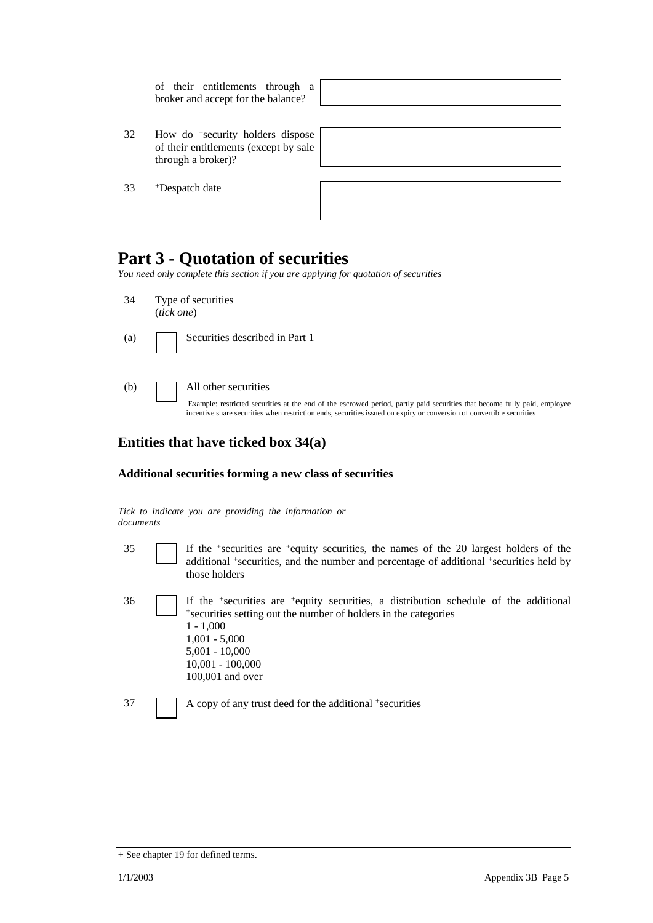|    | of their entitlements through a<br>broker and accept for the balance?                                       |  |
|----|-------------------------------------------------------------------------------------------------------------|--|
|    |                                                                                                             |  |
| 32 | How do <sup>+</sup> security holders dispose<br>of their entitlements (except by sale<br>through a broker)? |  |
|    |                                                                                                             |  |
| 33 | <sup>+</sup> Despatch date                                                                                  |  |
|    |                                                                                                             |  |

### **Part 3 - Quotation of securities**

*You need only complete this section if you are applying for quotation of securities* 

- 34 Type of securities (*tick one*) (a) Securities described in Part 1
- (b) All other securities

Example: restricted securities at the end of the escrowed period, partly paid securities that become fully paid, employee incentive share securities when restriction ends, securities issued on expiry or conversion of convertible securities

### **Entities that have ticked box 34(a)**

#### **Additional securities forming a new class of securities**

|           |  |  |  | Tick to indicate you are providing the information or |  |
|-----------|--|--|--|-------------------------------------------------------|--|
| documents |  |  |  |                                                       |  |

- 
- 35 If the +securities are +equity securities, the names of the 20 largest holders of the additional +securities, and the number and percentage of additional +securities held by those holders
- 

 $36$  If the +securities are +equity securities, a distribution schedule of the additional +securities setting out the number of holders in the categories  $1 - 1,000$ 1,001 - 5,000 5,001 - 10,000 10,001 - 100,000 100,001 and over

37 A copy of any trust deed for the additional +securities

<sup>+</sup> See chapter 19 for defined terms.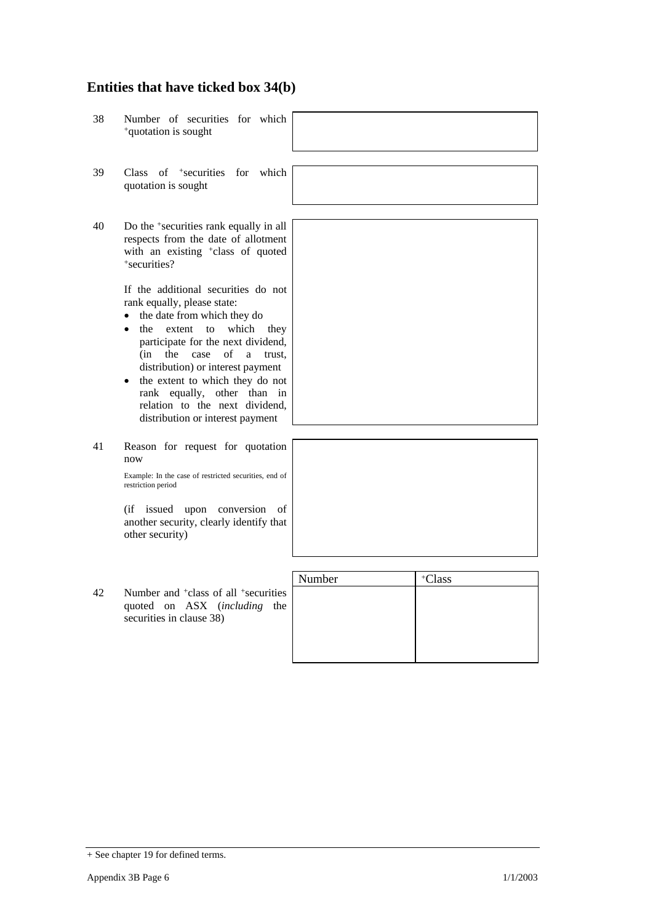### **Entities that have ticked box 34(b)**

38 Number of securities for which +quotation is sought 39 Class of +securities for which quotation is sought 40 Do the +securities rank equally in all respects from the date of allotment with an existing <sup>+</sup>class of quoted +securities? If the additional securities do not rank equally, please state: • the date from which they do • the extent to which they participate for the next dividend, (in the case of a trust, distribution) or interest payment • the extent to which they do not rank equally, other than in relation to the next dividend, distribution or interest payment 41 Reason for request for quotation

now

Example: In the case of restricted securities, end of restriction period

(if issued upon conversion of another security, clearly identify that other security)

|     |                                                              | Number | Class |
|-----|--------------------------------------------------------------|--------|-------|
| 42. | Number and <sup>+</sup> class of all <sup>+</sup> securities |        |       |
|     | quoted on ASX (including the<br>securities in clause 38)     |        |       |
|     |                                                              |        |       |
|     |                                                              |        |       |



<sup>+</sup> See chapter 19 for defined terms.